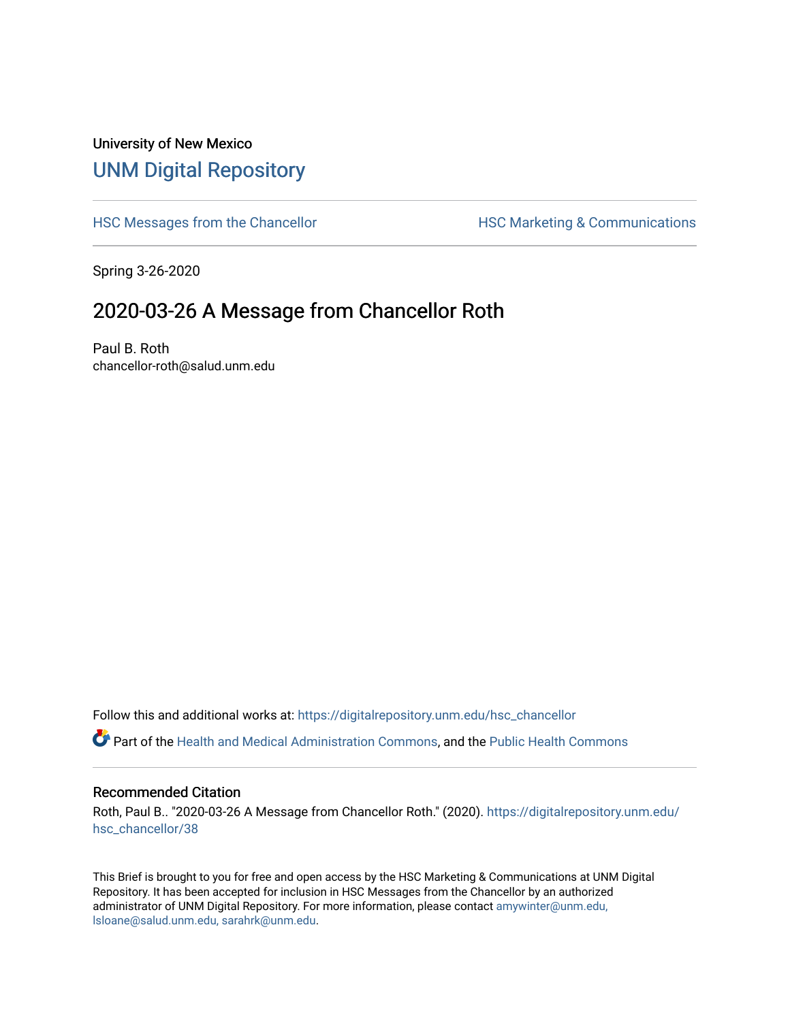# University of New Mexico [UNM Digital Repository](https://digitalrepository.unm.edu/)

[HSC Messages from the Chancellor](https://digitalrepository.unm.edu/hsc_chancellor) **HSC Marketing & Communications** 

Spring 3-26-2020

# 2020-03-26 A Message from Chancellor Roth

Paul B. Roth chancellor-roth@salud.unm.edu

Follow this and additional works at: [https://digitalrepository.unm.edu/hsc\\_chancellor](https://digitalrepository.unm.edu/hsc_chancellor?utm_source=digitalrepository.unm.edu%2Fhsc_chancellor%2F38&utm_medium=PDF&utm_campaign=PDFCoverPages) 

Part of the [Health and Medical Administration Commons](http://network.bepress.com/hgg/discipline/663?utm_source=digitalrepository.unm.edu%2Fhsc_chancellor%2F38&utm_medium=PDF&utm_campaign=PDFCoverPages), and the [Public Health Commons](http://network.bepress.com/hgg/discipline/738?utm_source=digitalrepository.unm.edu%2Fhsc_chancellor%2F38&utm_medium=PDF&utm_campaign=PDFCoverPages) 

### Recommended Citation

Roth, Paul B.. "2020-03-26 A Message from Chancellor Roth." (2020). [https://digitalrepository.unm.edu/](https://digitalrepository.unm.edu/hsc_chancellor/38?utm_source=digitalrepository.unm.edu%2Fhsc_chancellor%2F38&utm_medium=PDF&utm_campaign=PDFCoverPages) [hsc\\_chancellor/38](https://digitalrepository.unm.edu/hsc_chancellor/38?utm_source=digitalrepository.unm.edu%2Fhsc_chancellor%2F38&utm_medium=PDF&utm_campaign=PDFCoverPages) 

This Brief is brought to you for free and open access by the HSC Marketing & Communications at UNM Digital Repository. It has been accepted for inclusion in HSC Messages from the Chancellor by an authorized administrator of UNM Digital Repository. For more information, please contact [amywinter@unm.edu,](mailto:amywinter@unm.edu,%20lsloane@salud.unm.edu,%20sarahrk@unm.edu) [lsloane@salud.unm.edu, sarahrk@unm.edu.](mailto:amywinter@unm.edu,%20lsloane@salud.unm.edu,%20sarahrk@unm.edu)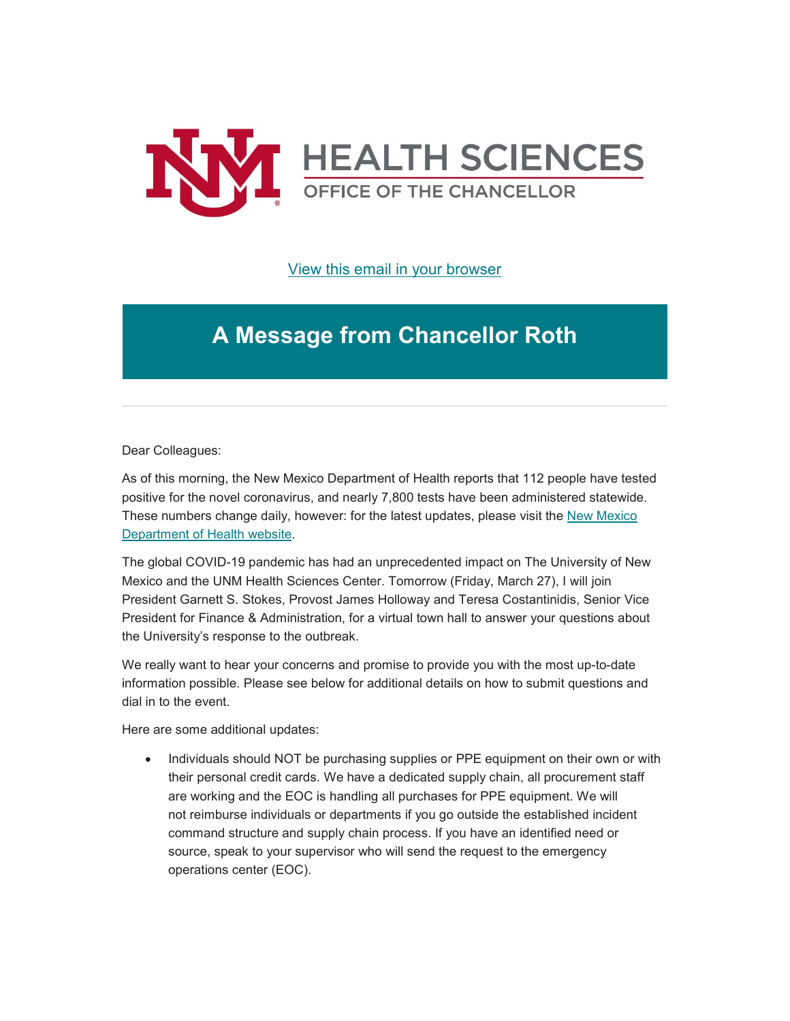

[View this email in your browser](https://mailchi.mp/52ebf76354cd/message-from-the-chancellor-coronavirus-4358560?e=b4bbfca2c0)

# **A Message from Chancellor Roth**

Dear Colleagues:

As of this morning, the New Mexico Department of Health reports that 112 people have tested positive for the novel coronavirus, and nearly 7,800 tests have been administered statewide. These numbers change daily, however: for the latest updates, please visit the [New Mexico](https://unm.us19.list-manage.com/track/click?u=59ce53c1a4dedb490bac78648&id=4ce6518a65&e=b4bbfca2c0)  [Department of Health website.](https://unm.us19.list-manage.com/track/click?u=59ce53c1a4dedb490bac78648&id=4ce6518a65&e=b4bbfca2c0)

The global COVID-19 pandemic has had an unprecedented impact on The University of New Mexico and the UNM Health Sciences Center. Tomorrow (Friday, March 27), I will join President Garnett S. Stokes, Provost James Holloway and Teresa Costantinidis, Senior Vice President for Finance & Administration, for a virtual town hall to answer your questions about the University's response to the outbreak.

We really want to hear your concerns and promise to provide you with the most up-to-date information possible. Please see below for additional details on how to submit questions and dial in to the event.

Here are some additional updates:

• Individuals should NOT be purchasing supplies or PPE equipment on their own or with their personal credit cards. We have a dedicated supply chain, all procurement staff are working and the EOC is handling all purchases for PPE equipment. We will not reimburse individuals or departments if you go outside the established incident command structure and supply chain process. If you have an identified need or source, speak to your supervisor who will send the request to the emergency operations center (EOC).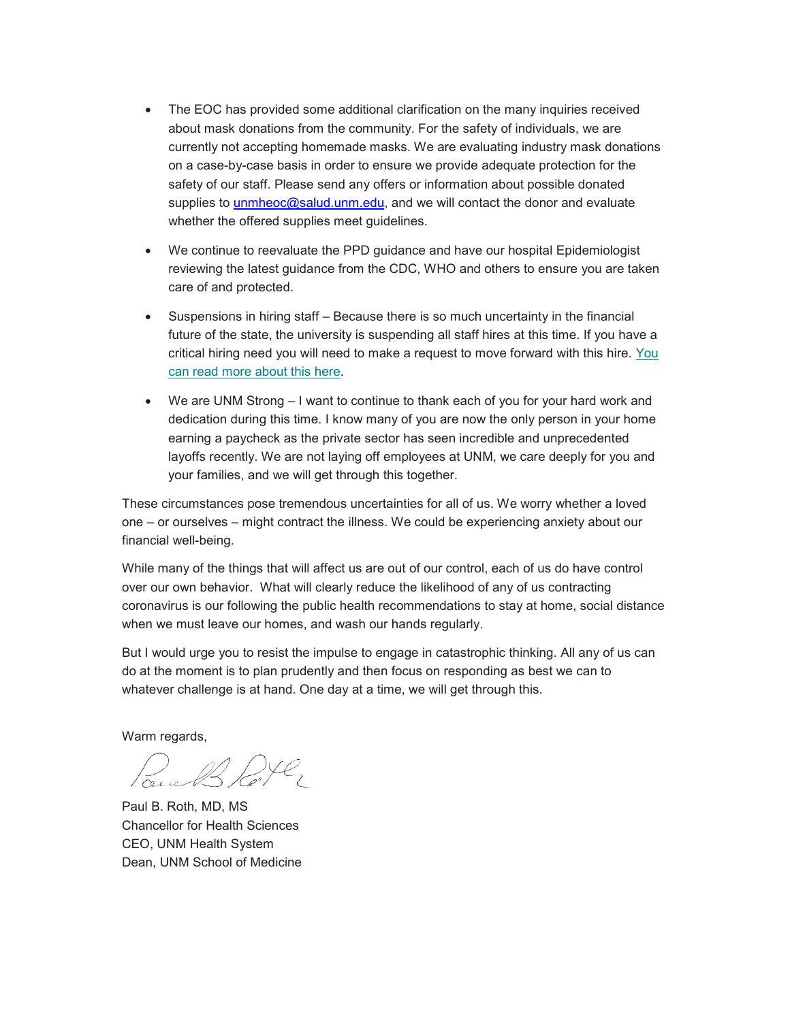- The EOC has provided some additional clarification on the many inquiries received about mask donations from the community. For the safety of individuals, we are currently not accepting homemade masks. We are evaluating industry mask donations on a case-by-case basis in order to ensure we provide adequate protection for the safety of our staff. Please send any offers or information about possible donated supplies to [unmheoc@salud.unm.edu,](mailto:unmheoc@salud.unm.edu) and we will contact the donor and evaluate whether the offered supplies meet guidelines.
- We continue to reevaluate the PPD guidance and have our hospital Epidemiologist reviewing the latest guidance from the CDC, WHO and others to ensure you are taken care of and protected.
- Suspensions in hiring staff Because there is so much uncertainty in the financial future of the state, the university is suspending all staff hires at this time. If you have a critical hiring need you will need to make a request to move forward with this hire. [You](https://unm.us19.list-manage.com/track/click?u=59ce53c1a4dedb490bac78648&id=b6da1877e7&e=b4bbfca2c0)  [can read more about this here.](https://unm.us19.list-manage.com/track/click?u=59ce53c1a4dedb490bac78648&id=b6da1877e7&e=b4bbfca2c0)
- We are UNM Strong I want to continue to thank each of you for your hard work and dedication during this time. I know many of you are now the only person in your home earning a paycheck as the private sector has seen incredible and unprecedented layoffs recently. We are not laying off employees at UNM, we care deeply for you and your families, and we will get through this together.

These circumstances pose tremendous uncertainties for all of us. We worry whether a loved one – or ourselves – might contract the illness. We could be experiencing anxiety about our financial well-being.

While many of the things that will affect us are out of our control, each of us do have control over our own behavior. What will clearly reduce the likelihood of any of us contracting coronavirus is our following the public health recommendations to stay at home, social distance when we must leave our homes, and wash our hands regularly.

But I would urge you to resist the impulse to engage in catastrophic thinking. All any of us can do at the moment is to plan prudently and then focus on responding as best we can to whatever challenge is at hand. One day at a time, we will get through this.

Warm regards,

Paul B. Roth, MD, MS Chancellor for Health Sciences CEO, UNM Health System Dean, UNM School of Medicine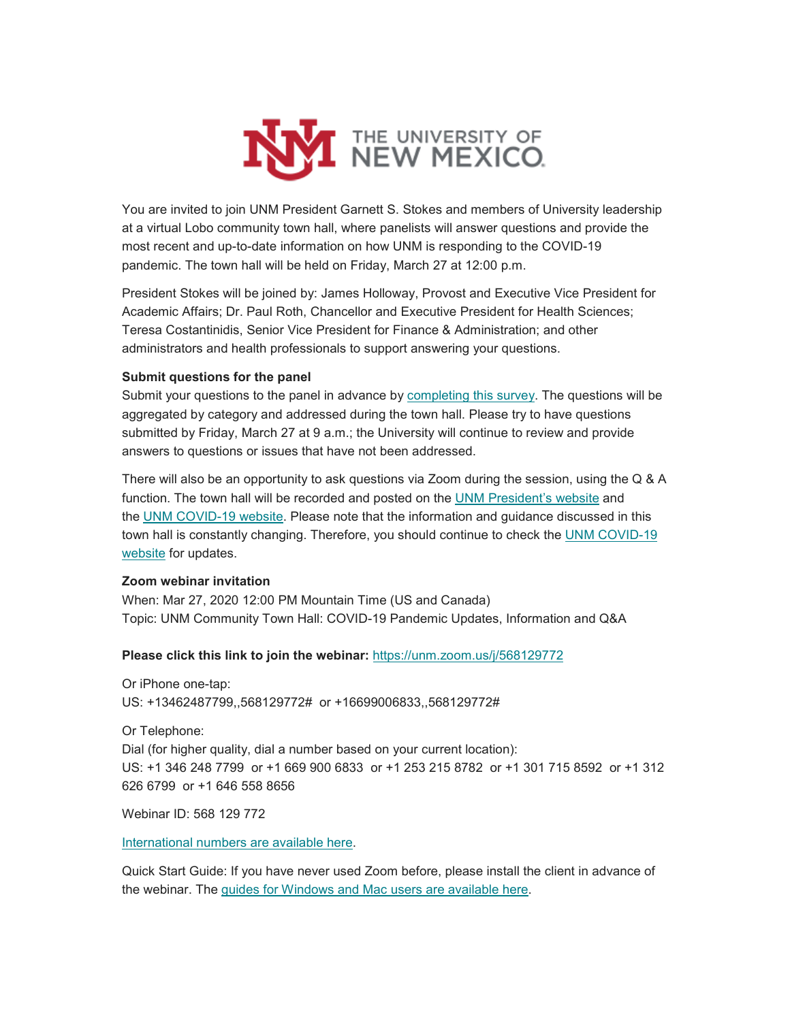

You are invited to join UNM President Garnett S. Stokes and members of University leadership at a virtual Lobo community town hall, where panelists will answer questions and provide the most recent and up-to-date information on how UNM is responding to the COVID-19 pandemic. The town hall will be held on Friday, March 27 at 12:00 p.m.

President Stokes will be joined by: James Holloway, Provost and Executive Vice President for Academic Affairs; Dr. Paul Roth, Chancellor and Executive President for Health Sciences; Teresa Costantinidis, Senior Vice President for Finance & Administration; and other administrators and health professionals to support answering your questions.

### **Submit questions for the panel**

Submit your questions to the panel in advance by [completing this survey.](https://unm.us19.list-manage.com/track/click?u=59ce53c1a4dedb490bac78648&id=0cb3210236&e=b4bbfca2c0) The questions will be aggregated by category and addressed during the town hall. Please try to have questions submitted by Friday, March 27 at 9 a.m.; the University will continue to review and provide answers to questions or issues that have not been addressed.

There will also be an opportunity to ask questions via Zoom during the session, using the Q & A function. The town hall will be recorded and posted on the [UNM President's website](https://unm.us19.list-manage.com/track/click?u=59ce53c1a4dedb490bac78648&id=1c1c138cf0&e=b4bbfca2c0) and the [UNM COVID-19 website.](https://unm.us19.list-manage.com/track/click?u=59ce53c1a4dedb490bac78648&id=195726be13&e=b4bbfca2c0) Please note that the information and guidance discussed in this town hall is constantly changing. Therefore, you should continue to check the UNM COVID-19 [website](https://unm.us19.list-manage.com/track/click?u=59ce53c1a4dedb490bac78648&id=16d5fae35a&e=b4bbfca2c0) for updates.

## **Zoom webinar invitation**

When: Mar 27, 2020 12:00 PM Mountain Time (US and Canada) Topic: UNM Community Town Hall: COVID-19 Pandemic Updates, Information and Q&A

## **Please click this link to join the webinar:** [https://unm.zoom.us/j/568129772](https://unm.us19.list-manage.com/track/click?u=59ce53c1a4dedb490bac78648&id=da33441c05&e=b4bbfca2c0)

Or iPhone one-tap: US: +13462487799,,568129772# or +16699006833,,568129772#

Or Telephone:

Dial (for higher quality, dial a number based on your current location): US: +1 346 248 7799 or +1 669 900 6833 or +1 253 215 8782 or +1 301 715 8592 or +1 312 626 6799 or +1 646 558 8656

Webinar ID: 568 129 772

[International numbers](https://unm.us19.list-manage.com/track/click?u=59ce53c1a4dedb490bac78648&id=5227007176&e=b4bbfca2c0) are available here.

Quick Start Guide: If you have never used Zoom before, please install the client in advance of the webinar. The guides for Windows and Mac users [are available here.](https://unm.us19.list-manage.com/track/click?u=59ce53c1a4dedb490bac78648&id=434ecd0a81&e=b4bbfca2c0)